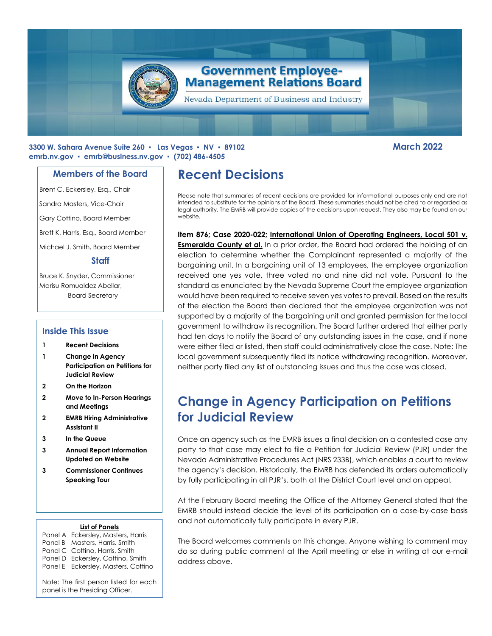

### **3300 W. Sahara Avenue Suite 260 ▪ Las Vegas ▪ NV ▪ 89102 March 2022 emrb.nv.gov ▪ [emrb@business.nv.gov](mailto:emrb@business.nv.gov) ▪ (702) 486-4505**

### **Members of the Board**

Brent C. Eckersley, Esq., Chair

Sandra Masters, Vice-Chair

Gary Cottino, Board Member

Brett K. Harris, Esq., Board Member

Michael J. Smith, Board Member

### **Staff**

Bruce K. Snyder, Commissioner Marisu Romualdez Abellar, Board Secretary

### **Inside This Issue**

- **1 Recent Decisions**
- **1 Change in Agency Participation on Petitions for Judicial Review**
- **2 On the Horizon**
- **2 Move to In-Person Hearings and Meetings**
- **2 EMRB Hiring Administrative Assistant II**
- **3 In the Queue**
- **3 Annual Report Information Updated on Website**
- **3 Commissioner Continues Speaking Tour**

#### **List of Panels**

Panel A Eckersley, Masters, Harris Panel B Masters, Harris, Smith Panel C Cottino, Harris, Smith Panel D Eckersley, Cottino, Smith Panel E Eckersley, Masters, Cottino

Note: The first person listed for each panel is the Presiding Officer.

# **Recent Decisions**

Please note that summaries of recent decisions are provided for informational purposes only and are not intended to substitute for the opinions of the Board. These summaries should not be cited to or regarded as legal authority. The EMRB will provide copies of the decisions upon request. They also may be found on our website.

## **Item 876; Case 2020-022; International Union of Operating Engineers, Local 501 v.**

**Esmeralda County et al.** In a prior order, the Board had ordered the holding of an election to determine whether the Complainant represented a majority of the bargaining unit. In a bargaining unit of 13 employees, the employee organization received one yes vote, three voted no and nine did not vote. Pursuant to the standard as enunciated by the Nevada Supreme Court the employee organization would have been required to receive seven yes votes to prevail. Based on the results of the election the Board then declared that the employee organization was not supported by a majority of the bargaining unit and granted permission for the local government to withdraw its recognition. The Board further ordered that either party had ten days to notify the Board of any outstanding issues in the case, and if none were either filed or listed, then staff could administratively close the case. Note: The local government subsequently filed its notice withdrawing recognition. Moreover, neither party filed any list of outstanding issues and thus the case was closed.

# **Change in Agency Participation on Petitions for Judicial Review**

Once an agency such as the EMRB issues a final decision on a contested case any party to that case may elect to file a Petition for Judicial Review (PJR) under the Nevada Administrative Procedures Act (NRS 233B), which enables a court to review the agency's decision. Historically, the EMRB has defended its orders automatically by fully participating in all PJR's, both at the District Court level and on appeal.

At the February Board meeting the Office of the Attorney General stated that the EMRB should instead decide the level of its participation on a case-by-case basis and not automatically fully participate in every PJR.

The Board welcomes comments on this change. Anyone wishing to comment may do so during public comment at the April meeting or else in writing at our e-mail address above.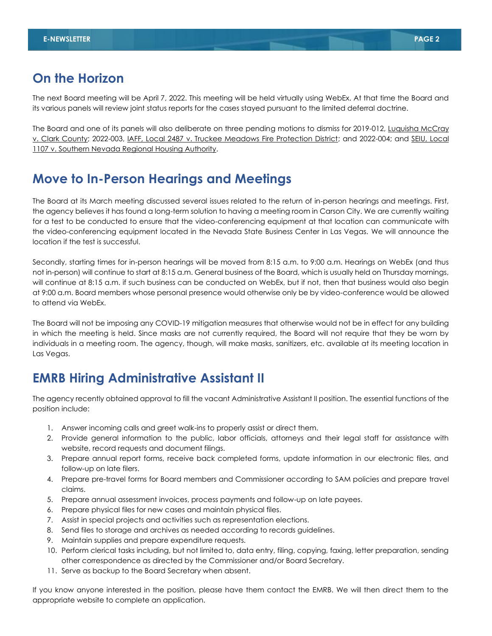## **On the Horizon**

The next Board meeting will be April 7, 2022. This meeting will be held virtually using WebEx. At that time the Board and its various panels will review joint status reports for the cases stayed pursuant to the limited deferral doctrine.

The Board and one of its panels will also deliberate on three pending motions to dismiss for 2019-012, Luquisha McCray v. Clark County; 2022-003, IAFF, Local 2487 v. Truckee Meadows Fire Protection District; and 2022-004; and SEIU, Local 1107 v. Southern Nevada Regional Housing Authority.

## **Move to In-Person Hearings and Meetings**

The Board at its March meeting discussed several issues related to the return of in-person hearings and meetings. First, the agency believes it has found a long-term solution to having a meeting room in Carson City. We are currently waiting for a test to be conducted to ensure that the video-conferencing equipment at that location can communicate with the video-conferencing equipment located in the Nevada State Business Center in Las Vegas. We will announce the location if the test is successful.

Secondly, starting times for in-person hearings will be moved from 8:15 a.m. to 9:00 a.m. Hearings on WebEx (and thus not in-person) will continue to start at 8:15 a.m. General business of the Board, which is usually held on Thursday mornings, will continue at 8:15 a.m. if such business can be conducted on WebEx, but if not, then that business would also begin at 9:00 a.m. Board members whose personal presence would otherwise only be by video-conference would be allowed to attend via WebEx.

The Board will not be imposing any COVID-19 mitigation measures that otherwise would not be in effect for any building in which the meeting is held. Since masks are not currently required, the Board will not require that they be worn by individuals in a meeting room. The agency, though, will make masks, sanitizers, etc. available at its meeting location in Las Vegas.

# **EMRB Hiring Administrative Assistant II**

The agency recently obtained approval to fill the vacant Administrative Assistant II position. The essential functions of the position include:

- 1. Answer incoming calls and greet walk-ins to properly assist or direct them.
- 2. Provide general information to the public, labor officials, attorneys and their legal staff for assistance with website, record requests and document filings.
- 3. Prepare annual report forms, receive back completed forms, update information in our electronic files, and follow-up on late filers.
- 4. Prepare pre-travel forms for Board members and Commissioner according to SAM policies and prepare travel claims.
- 5. Prepare annual assessment invoices, process payments and follow-up on late payees.
- 6. Prepare physical files for new cases and maintain physical files.
- 7. Assist in special projects and activities such as representation elections.
- 8. Send files to storage and archives as needed according to records guidelines.
- 9. Maintain supplies and prepare expenditure requests.
- 10. Perform clerical tasks including, but not limited to, data entry, filing, copying, faxing, letter preparation, sending other correspondence as directed by the Commissioner and/or Board Secretary.
- 11. Serve as backup to the Board Secretary when absent.

If you know anyone interested in the position, please have them contact the EMRB. We will then direct them to the appropriate website to complete an application.